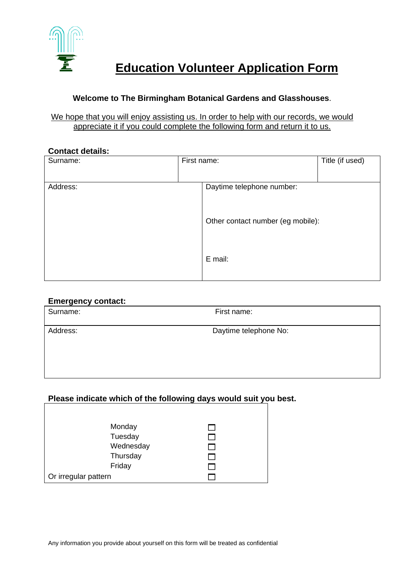

# **Education Volunteer Application Form**

## **Welcome to The Birmingham Botanical Gardens and Glasshouses**.

#### We hope that you will enjoy assisting us. In order to help with our records, we would appreciate it if you could complete the following form and return it to us.

#### **Contact details:**

| Surname: | First name: |                                   | Title (if used) |
|----------|-------------|-----------------------------------|-----------------|
| Address: |             | Daytime telephone number:         |                 |
|          |             | Other contact number (eg mobile): |                 |
|          |             | E mail:                           |                 |

#### **Emergency contact:**

| . <u>.</u><br>Surname: | First name:           |  |
|------------------------|-----------------------|--|
| Address:               | Daytime telephone No: |  |

## **Please indicate which of the following days would suit you best.**

| Monday               |  |
|----------------------|--|
| Tuesday              |  |
| Wednesday            |  |
| Thursday             |  |
| Friday               |  |
| Or irregular pattern |  |